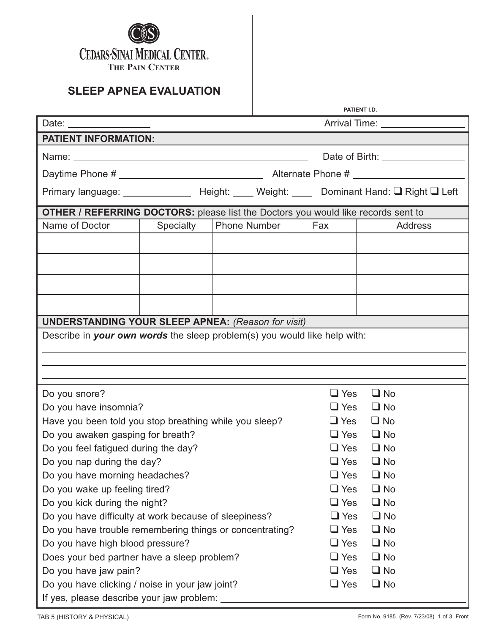

|                                                                                 |                                                                                                                          |  |                                                                                                                                     | PATIENT I.D.                                                                                                                                                          |
|---------------------------------------------------------------------------------|--------------------------------------------------------------------------------------------------------------------------|--|-------------------------------------------------------------------------------------------------------------------------------------|-----------------------------------------------------------------------------------------------------------------------------------------------------------------------|
|                                                                                 |                                                                                                                          |  |                                                                                                                                     | Arrival Time: _________________                                                                                                                                       |
|                                                                                 |                                                                                                                          |  |                                                                                                                                     |                                                                                                                                                                       |
|                                                                                 |                                                                                                                          |  |                                                                                                                                     |                                                                                                                                                                       |
|                                                                                 |                                                                                                                          |  |                                                                                                                                     |                                                                                                                                                                       |
|                                                                                 |                                                                                                                          |  |                                                                                                                                     |                                                                                                                                                                       |
|                                                                                 |                                                                                                                          |  |                                                                                                                                     |                                                                                                                                                                       |
|                                                                                 |                                                                                                                          |  |                                                                                                                                     | <b>Address</b>                                                                                                                                                        |
|                                                                                 |                                                                                                                          |  |                                                                                                                                     |                                                                                                                                                                       |
|                                                                                 |                                                                                                                          |  |                                                                                                                                     |                                                                                                                                                                       |
|                                                                                 |                                                                                                                          |  |                                                                                                                                     |                                                                                                                                                                       |
|                                                                                 |                                                                                                                          |  |                                                                                                                                     |                                                                                                                                                                       |
|                                                                                 |                                                                                                                          |  |                                                                                                                                     |                                                                                                                                                                       |
|                                                                                 |                                                                                                                          |  |                                                                                                                                     |                                                                                                                                                                       |
|                                                                                 |                                                                                                                          |  |                                                                                                                                     |                                                                                                                                                                       |
|                                                                                 |                                                                                                                          |  |                                                                                                                                     |                                                                                                                                                                       |
|                                                                                 |                                                                                                                          |  |                                                                                                                                     |                                                                                                                                                                       |
|                                                                                 |                                                                                                                          |  | $\Box$ Yes                                                                                                                          | $\Box$ No                                                                                                                                                             |
|                                                                                 |                                                                                                                          |  | $\Box$ Yes                                                                                                                          | $\Box$ No                                                                                                                                                             |
|                                                                                 |                                                                                                                          |  | $\Box$ Yes                                                                                                                          | $\Box$ No                                                                                                                                                             |
|                                                                                 |                                                                                                                          |  | $\Box$ Yes                                                                                                                          | $\Box$ No                                                                                                                                                             |
|                                                                                 |                                                                                                                          |  | $\Box$ Yes                                                                                                                          | $\Box$ No                                                                                                                                                             |
|                                                                                 |                                                                                                                          |  | $\square$ Yes                                                                                                                       | $\Box$ No                                                                                                                                                             |
|                                                                                 |                                                                                                                          |  | $\Box$ Yes                                                                                                                          | $\Box$ No                                                                                                                                                             |
|                                                                                 |                                                                                                                          |  | $\Box$ Yes                                                                                                                          | $\Box$ No                                                                                                                                                             |
| Do you wake up feeling tired?<br>Do you kick during the night?                  |                                                                                                                          |  | $\Box$ Yes                                                                                                                          | $\Box$ No                                                                                                                                                             |
| Do you have difficulty at work because of sleepiness?                           |                                                                                                                          |  | $\Box$ Yes                                                                                                                          | $\Box$ No                                                                                                                                                             |
| Do you have trouble remembering things or concentrating?                        |                                                                                                                          |  | $\Box$ Yes                                                                                                                          | $\Box$ No                                                                                                                                                             |
|                                                                                 |                                                                                                                          |  | $\Box$ Yes                                                                                                                          | $\Box$ No                                                                                                                                                             |
| Do you have high blood pressure?<br>Does your bed partner have a sleep problem? |                                                                                                                          |  | $\Box$ Yes                                                                                                                          | $\Box$ No                                                                                                                                                             |
| Do you have jaw pain?                                                           |                                                                                                                          |  |                                                                                                                                     |                                                                                                                                                                       |
|                                                                                 |                                                                                                                          |  | $\Box$ Yes                                                                                                                          | $\Box$ No                                                                                                                                                             |
| Do you have clicking / noise in your jaw joint?                                 |                                                                                                                          |  | $\Box$ Yes                                                                                                                          | $\Box$ No                                                                                                                                                             |
|                                                                                 | Specialty<br>Do you awaken gasping for breath?<br>Do you feel fatigued during the day?<br>Do you have morning headaches? |  | Phone Number<br><b>UNDERSTANDING YOUR SLEEP APNEA: (Reason for visit)</b><br>Have you been told you stop breathing while you sleep? | OTHER / REFERRING DOCTORS: please list the Doctors you would like records sent to<br>Fax<br>Describe in your own words the sleep problem(s) you would like help with: |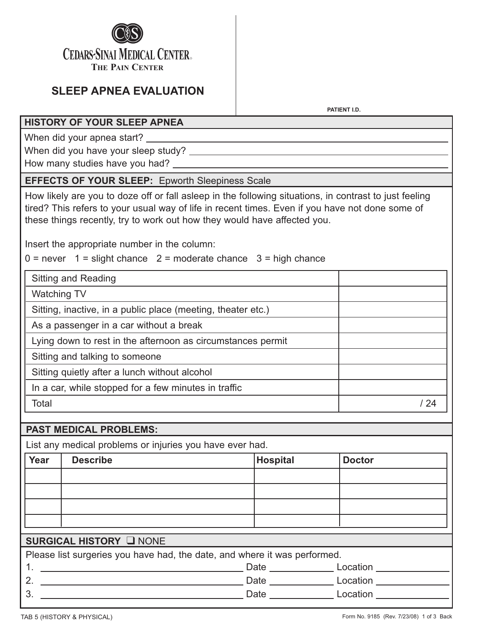

**PATIENT I.D.**

### **HISTORY OF YOUR SLEEP APNEA**

When did your apnea start?

When did you have your sleep study?

How many studies have you had? \_\_\_

### **EFFECTS OF YOUR SLEEP:** Epworth Sleepiness Scale

How likely are you to doze off or fall asleep in the following situations, in contrast to just feeling tired? This refers to your usual way of life in recent times. Even if you have not done some of these things recently, try to work out how they would have affected you.

Insert the appropriate number in the column:

 $0 =$  never  $1 =$  slight chance  $2 =$  moderate chance  $3 =$  high chance

| <b>Sitting and Reading</b>                                   |  |
|--------------------------------------------------------------|--|
| <b>Watching TV</b>                                           |  |
| Sitting, inactive, in a public place (meeting, theater etc.) |  |
| As a passenger in a car without a break                      |  |
| Lying down to rest in the afternoon as circumstances permit  |  |
| Sitting and talking to someone                               |  |
| Sitting quietly after a lunch without alcohol                |  |
| In a car, while stopped for a few minutes in traffic         |  |
| Total                                                        |  |

## **PAST MEDICAL PROBLEMS:**

List any medical problems or injuries you have ever had.

| Year           | <b>Describe</b>                                                                                                      | <b>Hospital</b>                                                           | <b>Doctor</b>                 |  |
|----------------|----------------------------------------------------------------------------------------------------------------------|---------------------------------------------------------------------------|-------------------------------|--|
|                |                                                                                                                      |                                                                           |                               |  |
|                |                                                                                                                      |                                                                           |                               |  |
|                |                                                                                                                      |                                                                           |                               |  |
|                |                                                                                                                      |                                                                           |                               |  |
|                | SURGICAL HISTORY LNONE                                                                                               |                                                                           |                               |  |
|                |                                                                                                                      | Please list surgeries you have had, the date, and where it was performed. |                               |  |
|                | <u> 1989 - Johann Barbara, martin amerikan basal dan berasal dan berasal dan berasal dan berasal dan berasal dan</u> |                                                                           | Date <b>Location</b> Location |  |
| 2 <sub>1</sub> | <u> 1989 - Johann Stein, marwolaethau a bhann an t-</u>                                                              |                                                                           | Date <b>Location</b> Location |  |
| 3.             |                                                                                                                      |                                                                           | Date <b>Location</b>          |  |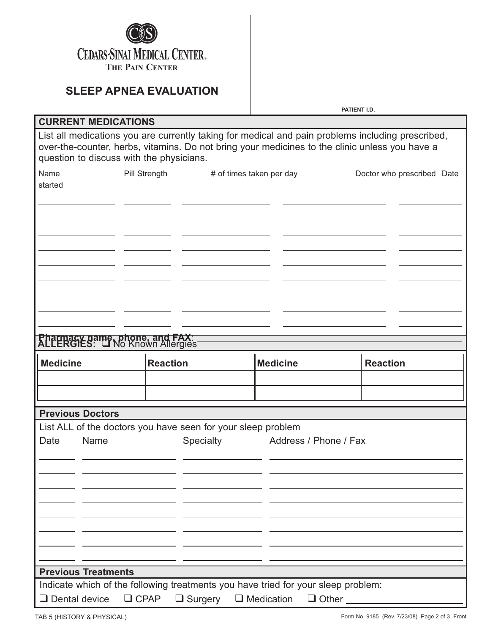

**PATIENT I.D.**

| <b>CURRENT MEDICATIONS</b>                                                     |                                                                                                                                                                                                     |                                          |                            |
|--------------------------------------------------------------------------------|-----------------------------------------------------------------------------------------------------------------------------------------------------------------------------------------------------|------------------------------------------|----------------------------|
| question to discuss with the physicians.                                       | List all medications you are currently taking for medical and pain problems including prescribed,<br>over-the-counter, herbs, vitamins. Do not bring your medicines to the clinic unless you have a |                                          |                            |
| Name<br>Pill Strength<br>started                                               | # of times taken per day                                                                                                                                                                            |                                          | Doctor who prescribed Date |
| <b>Pharmacy name, phone, and FAX:</b><br><b>ALLERGIES:</b> The Known Allergies |                                                                                                                                                                                                     |                                          |                            |
| <b>Medicine</b>                                                                | <b>Reaction</b>                                                                                                                                                                                     | <b>Medicine</b>                          | <b>Reaction</b>            |
|                                                                                |                                                                                                                                                                                                     |                                          |                            |
|                                                                                |                                                                                                                                                                                                     |                                          |                            |
| <b>Previous Doctors</b>                                                        |                                                                                                                                                                                                     |                                          |                            |
|                                                                                | List ALL of the doctors you have seen for your sleep problem                                                                                                                                        |                                          |                            |
| Name<br>Date                                                                   | Specialty                                                                                                                                                                                           | Address / Phone / Fax                    |                            |
|                                                                                |                                                                                                                                                                                                     |                                          |                            |
|                                                                                |                                                                                                                                                                                                     |                                          |                            |
|                                                                                |                                                                                                                                                                                                     |                                          |                            |
| <b>Previous Treatments</b>                                                     | Indicate which of the following treatments you have tried for your sleep problem:                                                                                                                   |                                          |                            |
| $\Box$ Dental device<br>$\Box$ CPAP                                            | $\Box$ Surgery                                                                                                                                                                                      | $\Box$ Medication<br>$\Box$ Other $\Box$ |                            |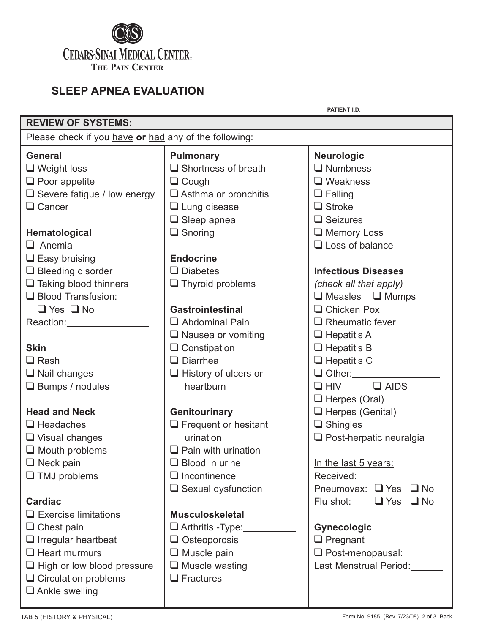

**PATIENT I.D.**

| <b>REVIEW OF SYSTEMS:</b>                             |                             |                                       |  |
|-------------------------------------------------------|-----------------------------|---------------------------------------|--|
| Please check if you have or had any of the following: |                             |                                       |  |
| <b>General</b>                                        | <b>Pulmonary</b>            | <b>Neurologic</b>                     |  |
| $\Box$ Weight loss                                    | $\Box$ Shortness of breath  | $\Box$ Numbness                       |  |
| $\Box$ Poor appetite                                  | $\Box$ Cough                | $\Box$ Weakness                       |  |
| $\Box$ Severe fatigue / low energy                    | $\Box$ Asthma or bronchitis | $\Box$ Falling                        |  |
| $\Box$ Cancer                                         | $\Box$ Lung disease         | $\Box$ Stroke                         |  |
|                                                       | $\Box$ Sleep apnea          | $\Box$ Seizures                       |  |
| Hematological                                         | $\Box$ Snoring              | Memory Loss                           |  |
| $\Box$ Anemia                                         |                             | $\Box$ Loss of balance                |  |
| $\Box$ Easy bruising                                  | <b>Endocrine</b>            |                                       |  |
| $\Box$ Bleeding disorder                              | $\Box$ Diabetes             | <b>Infectious Diseases</b>            |  |
| $\Box$ Taking blood thinners                          | $\Box$ Thyroid problems     | (check all that apply)                |  |
| $\Box$ Blood Transfusion:                             |                             | $\Box$ Measles $\Box$ Mumps           |  |
| $\Box$ Yes $\Box$ No                                  | <b>Gastrointestinal</b>     | $\Box$ Chicken Pox                    |  |
| Reaction: Reaction:                                   | $\Box$ Abdominal Pain       | $\Box$ Rheumatic fever                |  |
|                                                       | $\Box$ Nausea or vomiting   | $\Box$ Hepatitis A                    |  |
| <b>Skin</b>                                           | $\Box$ Constipation         | $\Box$ Hepatitis B                    |  |
| $\Box$ Rash                                           | $\Box$ Diarrhea             | $\Box$ Hepatitis C                    |  |
| $\Box$ Nail changes                                   | $\Box$ History of ulcers or | Other: ____________                   |  |
| $\Box$ Bumps / nodules                                | heartburn                   | $\Box$ HIV $\Box$ AIDS                |  |
|                                                       |                             | $\Box$ Herpes (Oral)                  |  |
| <b>Head and Neck</b>                                  | Genitourinary               | $\Box$ Herpes (Genital)               |  |
| $\Box$ Headaches                                      | $\Box$ Frequent or hesitant | $\Box$ Shingles                       |  |
| $\Box$ Visual changes                                 | urination                   | Post-herpatic neuralgia               |  |
| $\Box$ Mouth problems                                 | $\Box$ Pain with urination  |                                       |  |
| $\Box$ Neck pain                                      | $\Box$ Blood in urine       | In the last 5 years:                  |  |
| $\Box$ TMJ problems                                   | $\Box$ Incontinence         | Received:                             |  |
|                                                       | $\Box$ Sexual dysfunction   | Pneumovax:<br>$\Box$ Yes<br>$\Box$ No |  |
| <b>Cardiac</b>                                        |                             | $\Box$ Yes<br>Flu shot:<br>$\Box$ No  |  |
| $\Box$ Exercise limitations                           | <b>Musculoskeletal</b>      |                                       |  |
| $\Box$ Chest pain                                     | $\Box$ Arthritis -Type:     | <b>Gynecologic</b>                    |  |
| $\Box$ Irregular heartbeat                            | $\Box$ Osteoporosis         | $\Box$ Pregnant                       |  |
| $\Box$ Heart murmurs                                  | $\Box$ Muscle pain          | $\Box$ Post-menopausal:               |  |
| $\Box$ High or low blood pressure                     | $\Box$ Muscle wasting       | Last Menstrual Period:                |  |
| $\Box$ Circulation problems                           | $\Box$ Fractures            |                                       |  |
| $\Box$ Ankle swelling                                 |                             |                                       |  |
|                                                       |                             |                                       |  |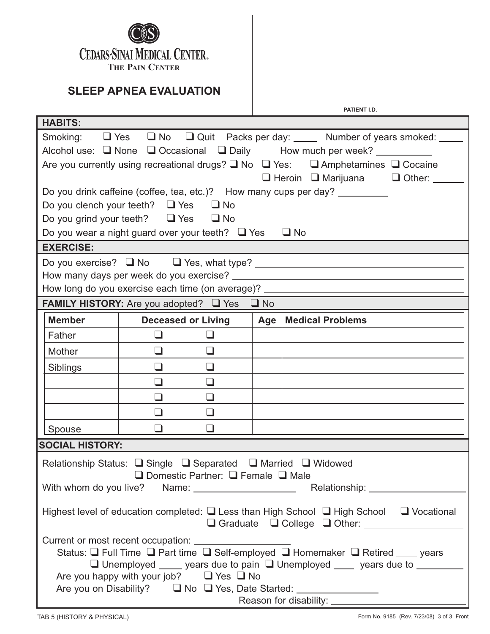

| PATIENT I.D.                                                                                                     |  |  |  |  |
|------------------------------------------------------------------------------------------------------------------|--|--|--|--|
| <b>HABITS:</b>                                                                                                   |  |  |  |  |
| Smoking: Thes Tho Touit Packs per day: Mumber of years smoked: The                                               |  |  |  |  |
| Alcohol use: $\Box$ None $\Box$ Occasional $\Box$ Daily How much per week?                                       |  |  |  |  |
| Are you currently using recreational drugs? $\square$ No $\square$ Yes: $\square$ Amphetamines $\square$ Cocaine |  |  |  |  |
| $\Box$ Heroin $\Box$ Marijuana $\Box$ Other:                                                                     |  |  |  |  |
| Do you drink caffeine (coffee, tea, etc.)? How many cups per day? _________                                      |  |  |  |  |
| Do you clench your teeth? $\Box$ Yes $\Box$ No                                                                   |  |  |  |  |
| Do you grind your teeth? $\Box$ Yes $\Box$ No                                                                    |  |  |  |  |
| Do you wear a night guard over your teeth? $\Box$ Yes<br>$\Box$ No                                               |  |  |  |  |
| <b>EXERCISE:</b>                                                                                                 |  |  |  |  |
| Do you exercise? I No I Yes, what type? I CONDINGLE TO YOU EXERCISE 2 NO I YES, what type?                       |  |  |  |  |
|                                                                                                                  |  |  |  |  |
| How long do you exercise each time (on average)? _______________________________                                 |  |  |  |  |
| <b>FAMILY HISTORY:</b> Are you adopted? $\Box$ Yes $\Box$ No                                                     |  |  |  |  |
| <b>Member</b><br>$ $ Age $ $<br><b>Medical Problems</b><br><b>Deceased or Living</b>                             |  |  |  |  |
| $\Box$<br>Father<br>$\Box$                                                                                       |  |  |  |  |
| $\Box$<br>$\Box$<br>Mother                                                                                       |  |  |  |  |
| $\Box$<br>$\Box$<br>Siblings                                                                                     |  |  |  |  |
| $\Box$<br>$\Box$                                                                                                 |  |  |  |  |
| $\Box$<br>$\Box$                                                                                                 |  |  |  |  |
| $\Box$<br>$\Box$                                                                                                 |  |  |  |  |
| $\Box$<br>Spouse                                                                                                 |  |  |  |  |
| <b>SOCIAL HISTORY:</b>                                                                                           |  |  |  |  |
| Relationship Status: Single Separated Sumarried Sumaried Sumaried Sumaried Sumaries                              |  |  |  |  |
| $\Box$ Domestic Partner: $\Box$ Female $\Box$ Male                                                               |  |  |  |  |
|                                                                                                                  |  |  |  |  |
| Highest level of education completed: $\Box$ Less than High School $\Box$ High School $\Box$ Vocational          |  |  |  |  |
|                                                                                                                  |  |  |  |  |
|                                                                                                                  |  |  |  |  |
| Status: □ Full Time □ Part time □ Self-employed □ Homemaker □ Retired ____ years                                 |  |  |  |  |
| $\Box$ Unemployed _____ years due to pain $\Box$ Unemployed ____ years due to ________                           |  |  |  |  |
| Are you happy with your job? $\Box$ Yes $\Box$ No                                                                |  |  |  |  |
|                                                                                                                  |  |  |  |  |
|                                                                                                                  |  |  |  |  |